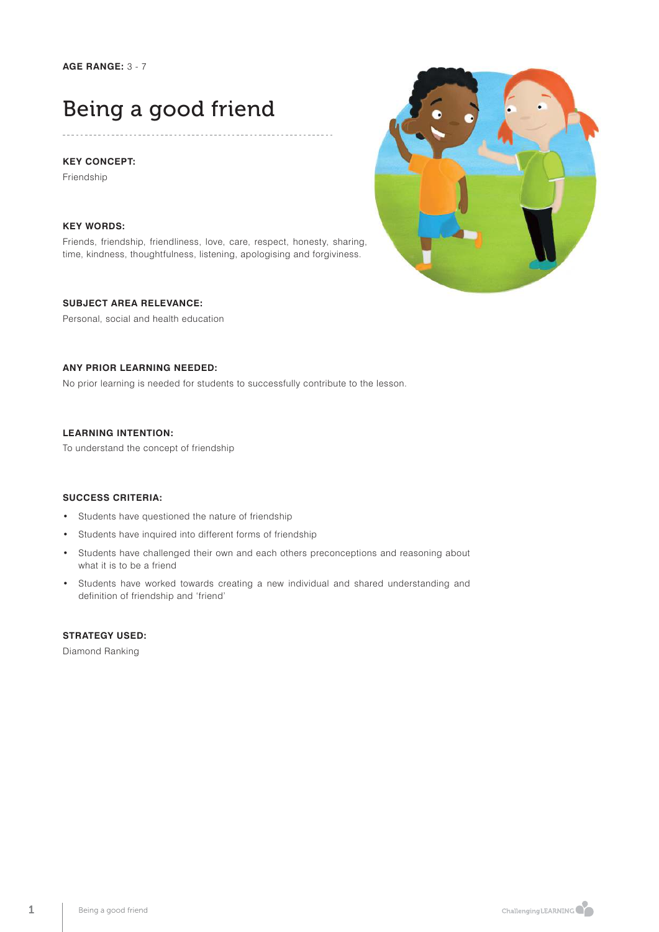## Being a good friend

### **KEY CONCEPT:**

Friendship

### **KEY WORDS:**

Friends, friendship, friendliness, love, care, respect, honesty, sharing, time, kindness, thoughtfulness, listening, apologising and forgiviness.

### **SUBJECT AREA RELEVANCE:**

Personal, social and health education

### **ANY PRIOR LEARNING NEEDED:**

No prior learning is needed for students to successfully contribute to the lesson.

### **LEARNING INTENTION:**

To understand the concept of friendship

### **SUCCESS CRITERIA:**

- Students have questioned the nature of friendship
- Students have inquired into different forms of friendship
- Students have challenged their own and each others preconceptions and reasoning about what it is to be a friend
- Students have worked towards creating a new individual and shared understanding and definition of friendship and 'friend'

## **STRATEGY USED:**

Diamond Ranking

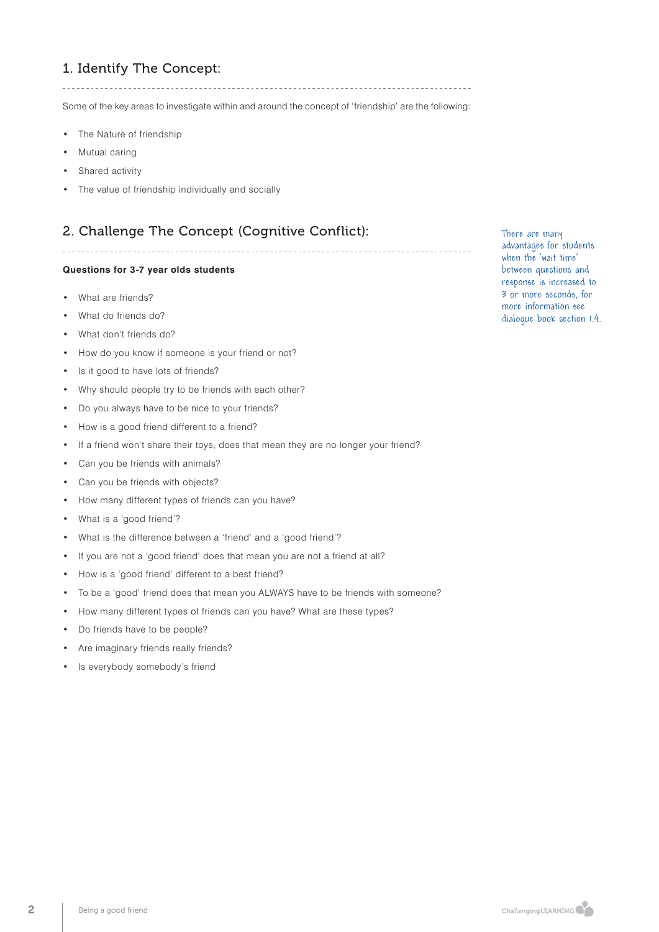## 1. Identify The Concept:

Some of the key areas to investigate within and around the concept of 'friendship' are the following:

- The Nature of friendship
- Mutual caring
- Shared activity
- The value of friendship individually and socially

## 2. Challenge The Concept (Cognitive Conflict):

### **Questions for 3-7 year olds students**

- What are friends?
- What do friends do?
- What don't friends do?
- How do you know if someone is your friend or not?
- Is it good to have lots of friends?
- Why should people try to be friends with each other?
- Do you always have to be nice to your friends?
- How is a good friend different to a friend?
- If a friend won't share their toys, does that mean they are no longer your friend?
- Can you be friends with animals?
- Can you be friends with objects?
- How many different types of friends can you have?
- What is a 'good friend'?
- What is the difference between a 'friend' and a 'good friend'?
- If you are not a 'good friend' does that mean you are not a friend at all?
- How is a 'good friend' different to a best friend?
- To be a 'good' friend does that mean you ALWAYS have to be friends with someone?
- How many different types of friends can you have? What are these types?
- Do friends have to be people?
- Are imaginary friends really friends?
- Is everybody somebody's friend

There are many advantages for students when the 'wait time' between questions and response is increased to 3 or more seconds, for more information see dialogue book section 1.4.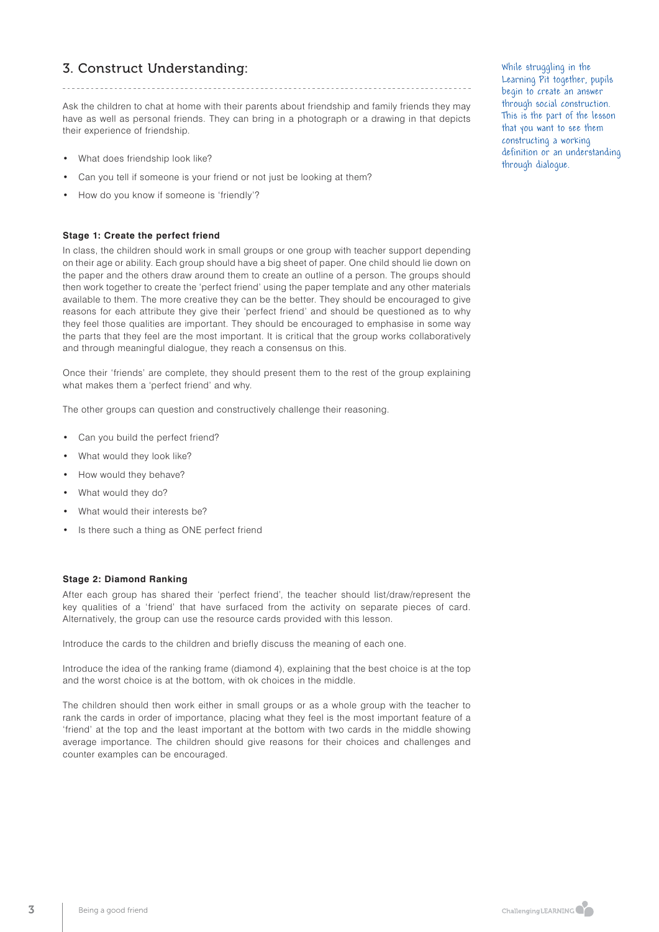## 3. Construct Understanding:

Ask the children to chat at home with their parents about friendship and family friends they may have as well as personal friends. They can bring in a photograph or a drawing in that depicts their experience of friendship.

. \_ \_ \_ \_ \_ \_ \_ \_ \_ \_ \_ \_ \_ \_ \_ \_ \_ \_

- What does friendship look like?
- Can you tell if someone is your friend or not just be looking at them?
- How do you know if someone is 'friendly'?

### **Stage 1: Create the perfect friend**

In class, the children should work in small groups or one group with teacher support depending on their age or ability. Each group should have a big sheet of paper. One child should lie down on the paper and the others draw around them to create an outline of a person. The groups should then work together to create the 'perfect friend' using the paper template and any other materials available to them. The more creative they can be the better. They should be encouraged to give reasons for each attribute they give their 'perfect friend' and should be questioned as to why they feel those qualities are important. They should be encouraged to emphasise in some way the parts that they feel are the most important. It is critical that the group works collaboratively and through meaningful dialogue, they reach a consensus on this.

Once their 'friends' are complete, they should present them to the rest of the group explaining what makes them a 'perfect friend' and why.

The other groups can question and constructively challenge their reasoning.

- Can you build the perfect friend?
- What would they look like?
- How would they behave?
- What would they do?
- What would their interests be?
- Is there such a thing as ONE perfect friend

#### **Stage 2: Diamond Ranking**

After each group has shared their 'perfect friend', the teacher should list/draw/represent the key qualities of a 'friend' that have surfaced from the activity on separate pieces of card. Alternatively, the group can use the resource cards provided with this lesson.

Introduce the cards to the children and briefly discuss the meaning of each one.

Introduce the idea of the ranking frame (diamond 4), explaining that the best choice is at the top and the worst choice is at the bottom, with ok choices in the middle.

The children should then work either in small groups or as a whole group with the teacher to rank the cards in order of importance, placing what they feel is the most important feature of a 'friend' at the top and the least important at the bottom with two cards in the middle showing average importance. The children should give reasons for their choices and challenges and counter examples can be encouraged.

While struggling in the Learning Pit together, pupils begin to create an answer through social construction. This is the part of the lesson that you want to see them constructing a working definition or an understanding through dialogue.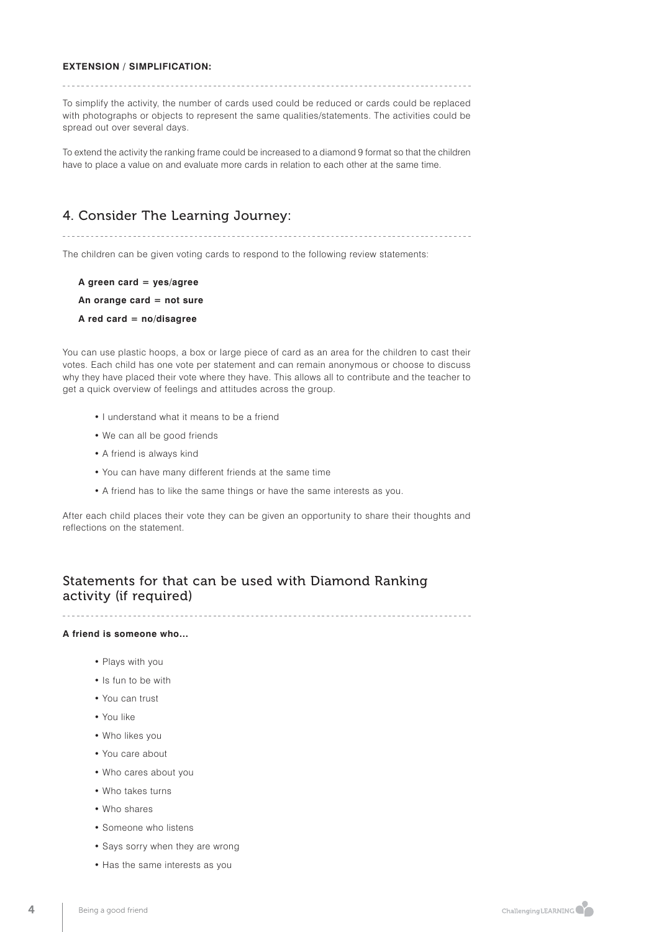### **EXTENSION / SIMPLIFICATION:**

To simplify the activity, the number of cards used could be reduced or cards could be replaced with photographs or objects to represent the same qualities/statements. The activities could be spread out over several days.

To extend the activity the ranking frame could be increased to a diamond 9 format so that the children have to place a value on and evaluate more cards in relation to each other at the same time.

## 4. Consider The Learning Journey:

The children can be given voting cards to respond to the following review statements:

- **A green card = yes/agree**
- **An orange card = not sure**
- **A red card = no/disagree**

You can use plastic hoops, a box or large piece of card as an area for the children to cast their votes. Each child has one vote per statement and can remain anonymous or choose to discuss why they have placed their vote where they have. This allows all to contribute and the teacher to get a quick overview of feelings and attitudes across the group.

- I understand what it means to be a friend
- We can all be good friends
- A friend is always kind
- You can have many different friends at the same time
- A friend has to like the same things or have the same interests as you.

After each child places their vote they can be given an opportunity to share their thoughts and reflections on the statement.

## Statements for that can be used with Diamond Ranking activity (if required)

### **A friend is someone who…**

- Plays with you
- Is fun to be with
- You can trust
- You like
- Who likes you
- You care about
- Who cares about you
- Who takes turns
- Who shares
- Someone who listens
- Says sorry when they are wrong
- Has the same interests as you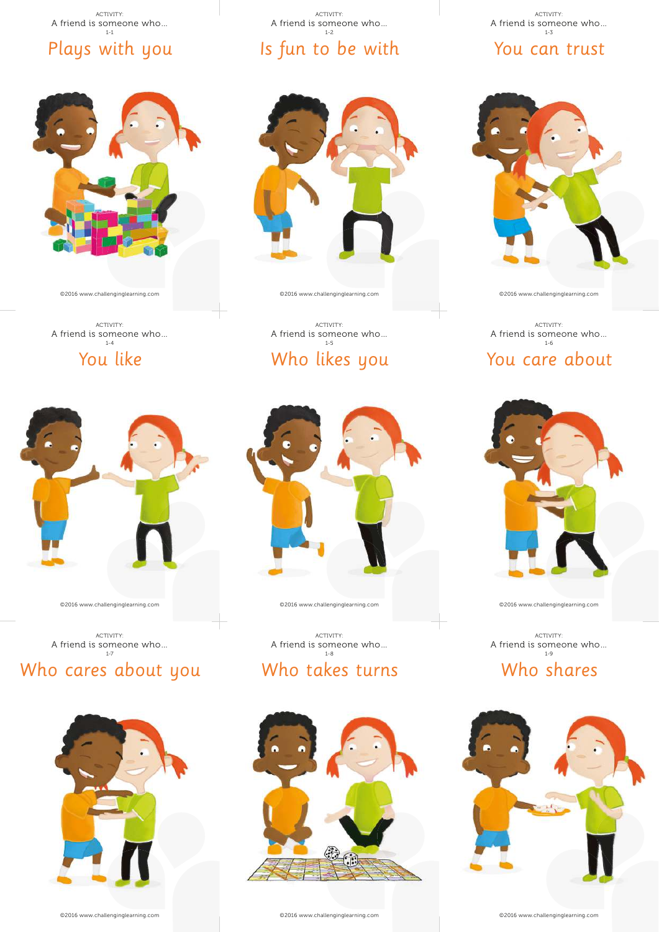# ACTIVITY:<br>A friend is someone who...<br> $1-1$

## Plays with you

©2016 www.challenginglearning.com

ACTIVITY: A friend is someone who… 1-4

You like

©2016 www.challenginglearning.com

Who cares about you

ACTIVITY:<br>A friend is someone who...



## Is fun to be with  $A$  friend is someone who...<br> $A$  friend is someone who...

ACTIVITY:<br>A friend is someone who...

## You can trust



©2016 www.challenginglearning.com

1-6



You care about

























Who shares









©2016 www.challenginglearning.com





ACTIVITY:<br>A friend is someone who...<br> $1-8$ 

©2016 www.challenginglearning.com



Who likes you

ACTIVITY: A friend is someone who… 1-5

©2016 www.challenginglearning.com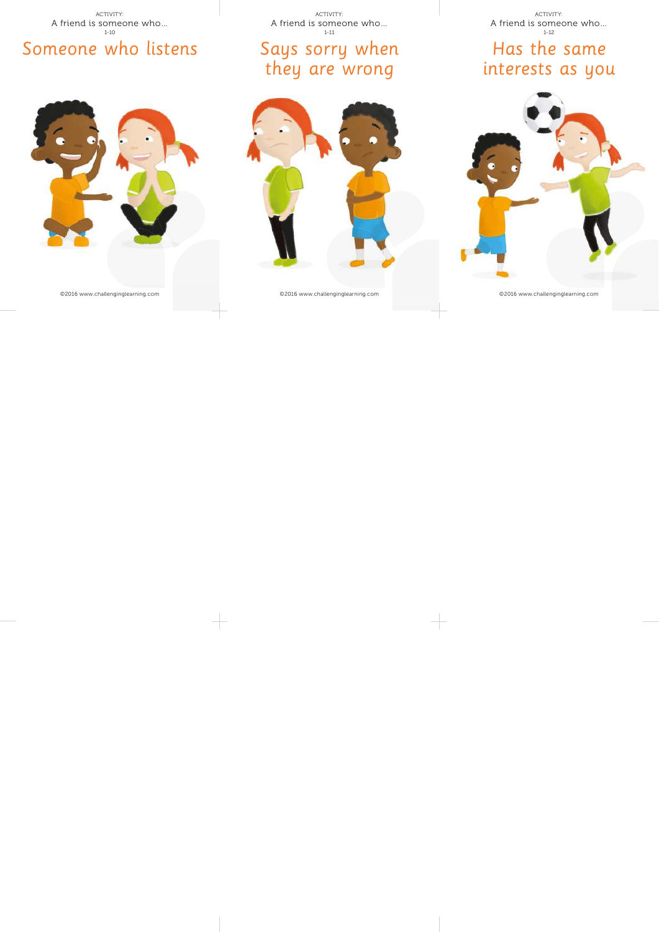Someone who listens ACTIVITY:<br>A friend is someone who...<br> $^{1-10}_{1-10}$ 

©2016 www.challenginglearning.com

ACTIVITY:<br>A friend is someone who...<br> $1-11$ 

## Says sorry when they are wrong



Has the same ACTIVITY:<br>A friend is someone who...

# interests as you



©2016 www.challenginglearning.com

©2016 www.challenginglearning.com









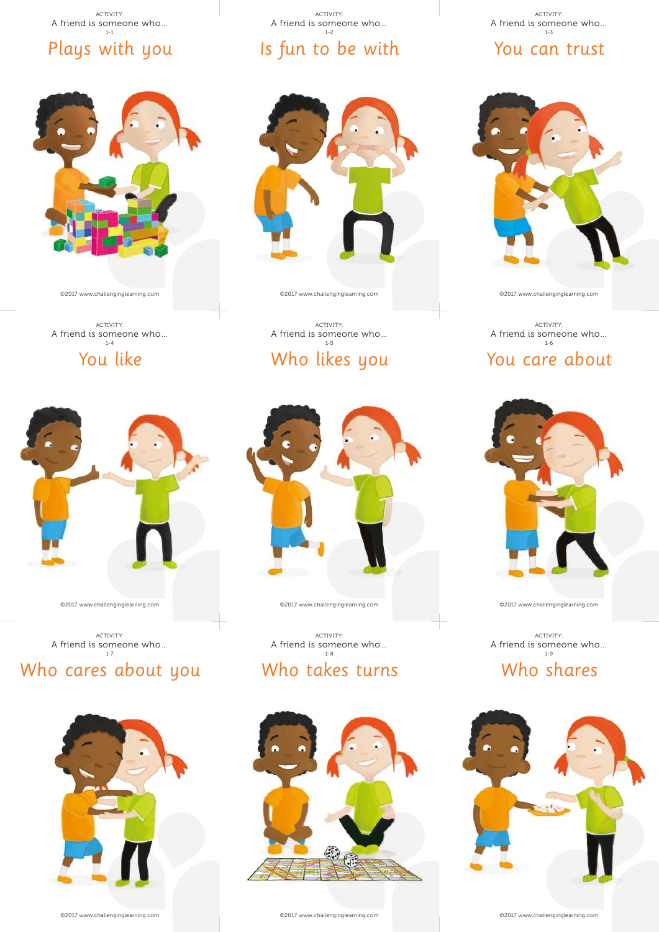# ACTIVITY:<br>A friend is someone who...<br> $1-1$

©2017 www.challenginglearning.com

ACTIVITY: A friend is someone who… 1-4

You like

Plays with you

 $A$  friend is someone who...<br> $A$  friend is someone who...

## Is fun to be with

ACTIVITY:<br>A friend is someone who...

## You can trust



©2017 www.challenginglearning.com



## You care about







©2017 www.challenginglearning.com

Who shares

ACTIVITY:<br>A friend is someone who...































©2017 www.challenginglearning.com

Who takes turns

ACTIVITY:<br>A friend is someone who...<br> $1-8$ 





©2017 www.challenginglearning.com

ACTIVITY: A friend is someone who… 1-5

Who likes you



ACTIVITY:<br>A friend is someone who...

## Who cares about you